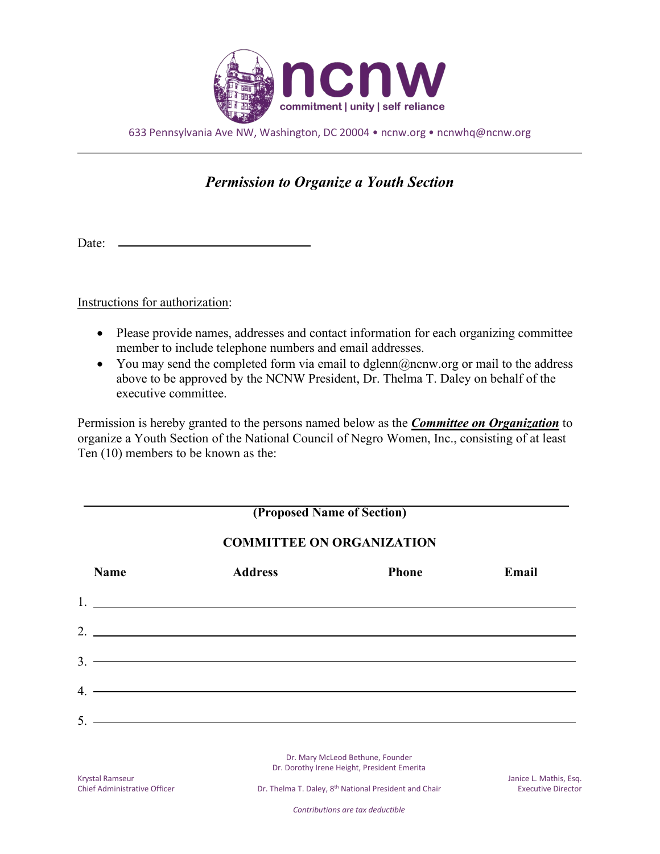

633 Pennsylvania Ave NW, Washington, DC 20004 • ncnw.org • ncnwhq@ncnw.org

## *Permission to Organize a Youth Section*

Date: \_

Instructions for authorization:

- Please provide names, addresses and contact information for each organizing committee member to include telephone numbers and email addresses.
- You may send the completed form via email to dglenn $(\partial \Omega)$ ncnw.org or mail to the address above to be approved by the NCNW President, Dr. Thelma T. Daley on behalf of the executive committee.

Permission is hereby granted to the persons named below as the *Committee on Organization* to organize a Youth Section of the National Council of Negro Women, Inc., consisting of at least Ten (10) members to be known as the:

| (Proposed Name of Section)<br><b>COMMITTEE ON ORGANIZATION</b> |                                                                                                                                                                                                                                                                                                                        |  |  |
|----------------------------------------------------------------|------------------------------------------------------------------------------------------------------------------------------------------------------------------------------------------------------------------------------------------------------------------------------------------------------------------------|--|--|
|                                                                |                                                                                                                                                                                                                                                                                                                        |  |  |
|                                                                | $1.$ $\frac{1}{2}$ $\frac{1}{2}$ $\frac{1}{2}$ $\frac{1}{2}$ $\frac{1}{2}$ $\frac{1}{2}$ $\frac{1}{2}$ $\frac{1}{2}$ $\frac{1}{2}$ $\frac{1}{2}$ $\frac{1}{2}$ $\frac{1}{2}$ $\frac{1}{2}$ $\frac{1}{2}$ $\frac{1}{2}$ $\frac{1}{2}$ $\frac{1}{2}$ $\frac{1}{2}$ $\frac{1}{2}$ $\frac{1}{2}$ $\frac{1}{2}$ $\frac{1}{$ |  |  |
|                                                                | $2.$ $\overline{\phantom{a}}$                                                                                                                                                                                                                                                                                          |  |  |
|                                                                | $3.$ $\overline{\phantom{a}}$                                                                                                                                                                                                                                                                                          |  |  |
|                                                                | $4.$ $\overline{\phantom{a}}$                                                                                                                                                                                                                                                                                          |  |  |
|                                                                |                                                                                                                                                                                                                                                                                                                        |  |  |
|                                                                |                                                                                                                                                                                                                                                                                                                        |  |  |

Dr. Mary McLeod Bethune, Founder Dr. Dorothy Irene Height, President Emerita

Dr. Thelma T. Daley, 8<sup>th</sup> National President and Chair **Executive Director** Executive Director

*Contributions are tax deductible*